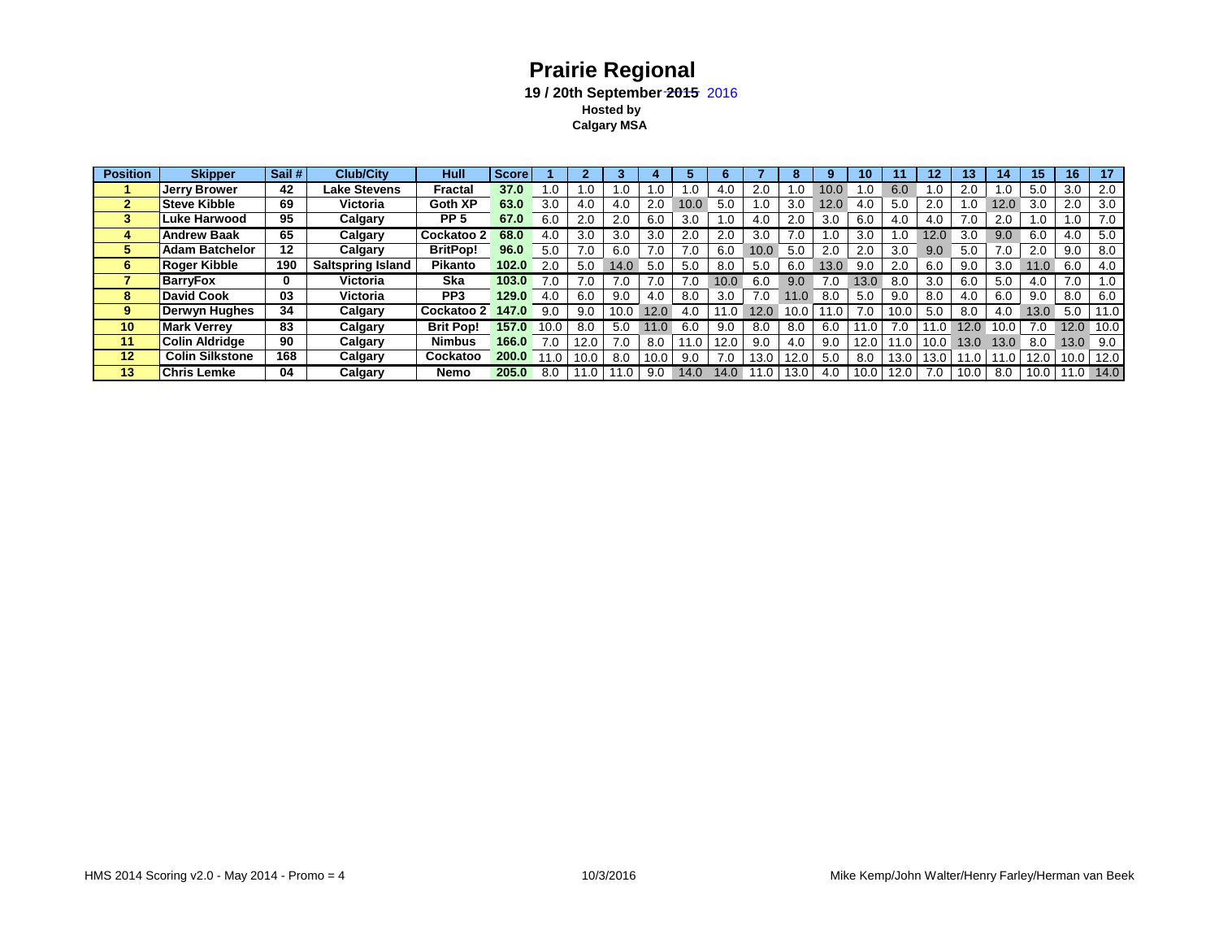## **Prairie Regional** 19 / 20th September 2015 2016  **Hosted by Calgary MSA**

| <b>Position</b> | <b>Skipper</b>         | Sail # | <b>Club/City</b>         | Hull             | Score |      |          |      |      |      |      |      |      |      | 10   |      | 12   | 13   |      | 15   | 16   | 17   |
|-----------------|------------------------|--------|--------------------------|------------------|-------|------|----------|------|------|------|------|------|------|------|------|------|------|------|------|------|------|------|
|                 | <b>Jerry Brower</b>    | 42     | <b>Lake Stevens</b>      | Fractal          | 37.0  | 0.1  |          | .0   |      | .0   | 4.0  | 2.0  | 0. ا | 10.0 | . 0  | 6.0  | .0   | 2.0  | .0   | 5.0  | 3.0  | 2.0  |
| 2               | <b>Steve Kibble</b>    | 69     | Victoria                 | Goth XP          | 63.0  | 3.0  | 4.0      | 4.0  | 2.0  | 10.0 | 5.0  | .0   | 3.0  | 12.0 | 4.0  | 5.0  | 2.0  | l .O | 12.0 | 3.0  | 2.0  | 3.0  |
| 3               | <b>Luke Harwood</b>    | 95     | Calgary                  | PP <sub>5</sub>  | 67.0  | 6.0  | 2.0      | 2.0  | 6.0  | 3.0  | .0   | 4.0  | 2.0  | 3.0  | 6.0  | 4.0  | 4.0  | 7.0  | 2.0  | .0   | .0   | 7.0  |
| 4               | <b>Andrew Baak</b>     | 65     | Calgary                  | Cockatoo 2       | 68.0  | 4.0  | 3.0      | 3.0  | 3.0  | 2.0  | 2.0  | 3.0  | 7.0  |      | 3.0  |      | 12.0 |      | 9.0  | 6.0  | 4.0  | 5.0  |
| 5               | <b>Adam Batchelor</b>  | 12     | Calgary                  | <b>BritPop!</b>  | 96.0  | 5.0  | 7.0      | 6.0  |      | 7.0  | 6.0  | 10.0 | 5.0  | 2.0  | 2.0  | 3.0  | 9.0  | 5.0  | 7.0  | 2.0  | 9.0  | 8.0  |
| 6               | Roger Kibble           | 190    | <b>Saltspring Island</b> | <b>Pikanto</b>   | 102.0 | 2.0  | 5.0      | 14.0 | 5.0  | 5.0  | 8.0  | 5.0  | 6.0  | 13.0 | 9.0  | 2.0  | 6.0  | 9.0  | 3.0  | 11.0 | 6.0  | 4.0  |
|                 | <b>BarrvFox</b>        | 0      | Victoria                 | Ska              | 103.0 | 7.0  |          |      |      |      | 10.  | 6.0  | 9.0  |      | 13.0 | 8.0  | 3.0  | 6.0  | 5.0  | 4.0  | 0.'  | 1.0  |
| 8               | David Cook             | 03     | Victoria                 | PP <sub>3</sub>  | 129.0 | 4.0  | 6.0      | 9.0  | 4.0  | 8.0  | 3.0  | 7.0  | 11.0 | 8.0  | 5.0  | 9.0  | 8.0  | 4.0  | 6.0  | 9.0  | 8.0  | 6.0  |
| 9               | Derwyn Hughes          | 34     | Calgary                  | Cockatoo 2       | 147.0 | 9.0  | 9.0      | 10.0 | 12.0 | 4.0  | 0.5  | 12.0 | 10.0 | 11.0 | 7.0  | 10.0 | 5.0  | 8.0  | 4.0  | 13.0 | 5.0  | 11.0 |
| 10              | <b>Mark Verrey</b>     | 83     | Calgary                  | <b>Brit Pop!</b> | 157.0 | 10.0 | 8.0      | 5.0  |      | 6.0  | 9.0  | 8.0  | 8.0  | 6.0  | 11.0 |      |      | 12.0 | 10.0 | 7.0  | 12.0 | 10.0 |
| 11              | Colin Aldridge         | 90     | Calgary                  | <b>Nimbus</b>    | 166.0 | 7.0  | $12.0$ . | 7.0  | 8.0  | 1.0  | 12.0 | 9.0  | 4.0  | 9.0  | 12.0 | 11.0 | 10.0 | 13.0 | 13.0 | 8.0  | 13.0 | 9.0  |
| $12 \,$         | <b>Colin Silkstone</b> | 168    | Calgary                  | Cockatoo         | 200.0 | .0   | 10.0     | 8.0  |      | 9.0  | 7.0  | 13.0 | 12.0 | 5.0  | 8.0  | 13.0 | 13.0 | 11.0 | 11.0 | 12.0 | 10.0 | 12.0 |
| 13              | <b>Chris Lemke</b>     | 04     | Calgary                  | Nemo             | 205.0 |      |          | 11.0 | 9.0  | 14.0 | 14.0 |      | 13.0 | 4.0  | 10.0 | 12.0 |      | 10.0 | 8.0  | 10.0 | 11.0 | 14.0 |